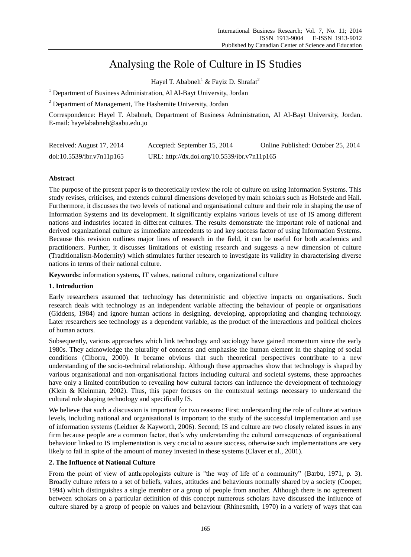# Analysing the Role of Culture in IS Studies

Hayel T. Ababneh<sup>1</sup> & Fayiz D. Shrafat<sup>2</sup>

<sup>1</sup> Department of Business Administration, Al Al-Bayt University, Jordan

<sup>2</sup> Department of Management, The Hashemite University, Jordan

Correspondence: Hayel T. Ababneh, Department of Business Administration, Al Al-Bayt University, Jordan. E-mail: hayelababneh@aabu.edu.jo

| Received: August 17, 2014 | Accepted: September 15, 2014                 | Online Published: October 25, 2014 |
|---------------------------|----------------------------------------------|------------------------------------|
| doi:10.5539/ibr.v7n11p165 | URL: http://dx.doi.org/10.5539/ibr.v7n11p165 |                                    |

# **Abstract**

The purpose of the present paper is to theoretically review the role of culture on using Information Systems. This study revises, criticises, and extends cultural dimensions developed by main scholars such as Hofstede and Hall. Furthermore, it discusses the two levels of national and organisational culture and their role in shaping the use of Information Systems and its development. It significantly explains various levels of use of IS among different nations and industries located in different cultures. The results demonstrate the important role of national and derived organizational culture as immediate antecedents to and key success factor of using Information Systems. Because this revision outlines major lines of research in the field, it can be useful for both academics and practitioners. Further, it discusses limitations of existing research and suggests a new dimension of culture (Traditionalism-Modernity) which stimulates further research to investigate its validity in characterising diverse nations in terms of their national culture.

**Keywords:** information systems, IT values, national culture, organizational culture

# **1. Introduction**

Early researchers assumed that technology has deterministic and objective impacts on organisations. Such research deals with technology as an independent variable affecting the behaviour of people or organisations (Giddens, 1984) and ignore human actions in designing, developing, appropriating and changing technology. Later researchers see technology as a dependent variable, as the product of the interactions and political choices of human actors.

Subsequently, various approaches which link technology and sociology have gained momentum since the early 1980s. They acknowledge the plurality of concerns and emphasise the human element in the shaping of social conditions (Ciborra, 2000). It became obvious that such theoretical perspectives contribute to a new understanding of the socio-technical relationship. Although these approaches show that technology is shaped by various organisational and non-organisational factors including cultural and societal systems, these approaches have only a limited contribution to revealing how cultural factors can influence the development of technology (Klein & Kleinman, 2002). Thus, this paper focuses on the contextual settings necessary to understand the cultural role shaping technology and specifically IS.

We believe that such a discussion is important for two reasons: First; understanding the role of culture at various levels, including national and organisational is important to the study of the successful implementation and use of information systems (Leidner & Kayworth, 2006). Second; IS and culture are two closely related issues in any firm because people are a common factor, that's why understanding the cultural consequences of organisational behaviour linked to IS implementation is very crucial to assure success, otherwise such implementations are very likely to fail in spite of the amount of money invested in these systems (Claver et al., 2001).

## **2. The Influence of National Culture**

From the point of view of anthropologists culture is "the way of life of a community" (Barbu, 1971, p. 3). Broadly culture refers to a set of beliefs, values, attitudes and behaviours normally shared by a society (Cooper, 1994) which distinguishes a single member or a group of people from another. Although there is no agreement between scholars on a particular definition of this concept numerous scholars have discussed the influence of culture shared by a group of people on values and behaviour (Rhinesmith, 1970) in a variety of ways that can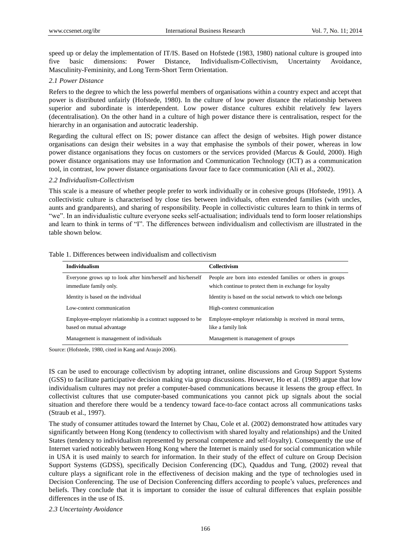speed up or delay the implementation of IT/IS. Based on Hofstede (1983, 1980) national culture is grouped into five basic dimensions: Power Distance, Individualism-Collectivism, Uncertainty Avoidance, Masculinity-Femininity, and Long Term-Short Term Orientation.

#### *2.1 Power Distance*

Refers to the degree to which the less powerful members of organisations within a country expect and accept that power is distributed unfairly (Hofstede, 1980). In the culture of low power distance the relationship between superior and subordinate is interdependent. Low power distance cultures exhibit relatively few layers (decentralisation). On the other hand in a culture of high power distance there is centralisation, respect for the hierarchy in an organisation and autocratic leadership.

Regarding the cultural effect on IS; power distance can affect the design of websites. High power distance organisations can design their websites in a way that emphasise the symbols of their power, whereas in low power distance organisations they focus on customers or the services provided (Marcus & Gould, 2000). High power distance organisations may use Information and Communication Technology (ICT) as a communication tool, in contrast, low power distance organisations favour face to face communication (Ali et al., 2002).

#### *2.2 Individualism-Collectivism*

This scale is a measure of whether people prefer to work individually or in cohesive groups (Hofstede, 1991). A collectivistic culture is characterised by close ties between individuals, often extended families (with uncles, aunts and grandparents), and sharing of responsibility. People in collectivistic cultures learn to think in terms of "we". In an individualistic culture everyone seeks self-actualisation; individuals tend to form looser relationships and learn to think in terms of "I". The differences between individualism and collectivism are illustrated in the table shown below.

| <b>Individualism</b>                                                                     | Collectivism                                                                                                         |
|------------------------------------------------------------------------------------------|----------------------------------------------------------------------------------------------------------------------|
| Everyone grows up to look after him/herself and his/herself<br>immediate family only.    | People are born into extended families or others in groups<br>which continue to protect them in exchange for loyalty |
| Identity is based on the individual                                                      | Identity is based on the social network to which one belongs                                                         |
| Low-context communication                                                                | High-context communication                                                                                           |
| Employee-employer relationship is a contract supposed to be<br>based on mutual advantage | Employee-employer relationship is received in moral terms,<br>like a family link                                     |
| Management is management of individuals                                                  | Management is management of groups                                                                                   |

Table 1. Differences between individualism and collectivism

Source: (Hofstede, 1980, cited in Kang and Araujo 2006).

IS can be used to encourage collectivism by adopting intranet, online discussions and Group Support Systems (GSS) to facilitate participative decision making via group discussions. However, Ho et al. (1989) argue that low individualism cultures may not prefer a computer-based communications because it lessens the group effect. In collectivist cultures that use computer-based communications you cannot pick up signals about the social situation and therefore there would be a tendency toward face-to-face contact across all communications tasks (Straub et al., 1997).

The study of consumer attitudes toward the Internet by Chau, Cole et al. (2002) demonstrated how attitudes vary significantly between Hong Kong (tendency to collectivism with shared loyalty and relationships) and the United States (tendency to individualism represented by personal competence and self-loyalty). Consequently the use of Internet varied noticeably between Hong Kong where the Internet is mainly used for social communication while in USA it is used mainly to search for information. In their study of the effect of culture on Group Decision Support Systems (GDSS), specifically Decision Conferencing (DC), Quaddus and Tung, (2002) reveal that culture plays a significant role in the effectiveness of decision making and the type of technologies used in Decision Conferencing. The use of Decision Conferencing differs according to people's values, preferences and beliefs. They conclude that it is important to consider the issue of cultural differences that explain possible differences in the use of IS.

*2.3 Uncertainty Avoidance*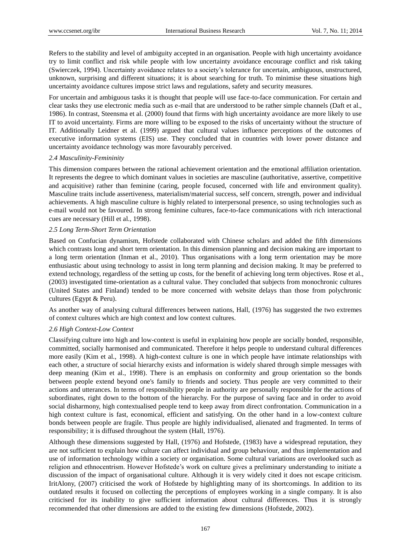Refers to the stability and level of ambiguity accepted in an organisation. People with high uncertainty avoidance try to limit conflict and risk while people with low uncertainty avoidance encourage conflict and risk taking (Swierczek, 1994). Uncertainty avoidance relates to a society's tolerance for uncertain, ambiguous, unstructured, unknown, surprising and different situations; it is about searching for truth. To minimise these situations high uncertainty avoidance cultures impose strict laws and regulations, safety and security measures.

For uncertain and ambiguous tasks it is thought that people will use face-to-face communication. For certain and clear tasks they use electronic media such as e-mail that are understood to be rather simple channels (Daft et al., 1986). In contrast, Steensma et al. (2000) found that firms with high uncertainty avoidance are more likely to use IT to avoid uncertainty. Firms are more willing to be exposed to the risks of uncertainty without the structure of IT. Additionally Leidner et al. (1999) argued that cultural values influence perceptions of the outcomes of executive information systems (EIS) use. They concluded that in countries with lower power distance and uncertainty avoidance technology was more favourably perceived.

## *2.4 Masculinity-Femininity*

This dimension compares between the rational achievement orientation and the emotional affiliation orientation. It represents the degree to which dominant values in societies are masculine (authoritative, assertive, competitive and acquisitive) rather than feminine (caring, people focused, concerned with life and environment quality). Masculine traits include assertiveness, materialism/material success, self concern, strength, power and individual achievements. A high masculine culture is highly related to interpersonal presence, so using technologies such as e-mail would not be favoured. In strong feminine cultures, face-to-face communications with rich interactional cues are necessary (Hill et al., 1998).

## *2.5 Long Term-Short Term Orientation*

Based on Confucian dynamism, Hofstede collaborated with Chinese scholars and added the fifth dimensions which contrasts long and short term orientation. In this dimension planning and decision making are important to a long term orientation (Inman et al., 2010). Thus organisations with a long term orientation may be more enthusiastic about using technology to assist in long term planning and decision making. It may be preferred to extend technology, regardless of the setting up costs, for the benefit of achieving long term objectives. Rose et al., (2003) investigated time-orientation as a cultural value. They concluded that subjects from monochronic cultures (United States and Finland) tended to be more concerned with website delays than those from polychronic cultures (Egypt & Peru).

As another way of analysing cultural differences between nations, Hall, (1976) has suggested the two extremes of context cultures which are high context and low context cultures.

## *2.6 High Context-Low Context*

Classifying culture into high and low-context is useful in explaining how people are socially bonded, responsible, committed, socially harmonised and communicated. Therefore it helps people to understand cultural differences more easily (Kim et al., 1998). A high-context culture is one in which people have intimate relationships with each other, a structure of social hierarchy exists and information is widely shared through simple messages with deep meaning (Kim et al., 1998). There is an emphasis on conformity and group orientation so the bonds between people extend beyond one's family to friends and society. Thus people are very committed to their actions and utterances. In terms of responsibility people in authority are personally responsible for the actions of subordinates, right down to the bottom of the hierarchy. For the purpose of saving face and in order to avoid social disharmony, high contextualised people tend to keep away from direct confrontation. Communication in a high context culture is fast, economical, efficient and satisfying. On the other hand in a low-context culture bonds between people are fragile. Thus people are highly individualised, alienated and fragmented. In terms of responsibility; it is diffused throughout the system (Hall, 1976).

Although these dimensions suggested by Hall, (1976) and Hofstede, (1983) have a widespread reputation, they are not sufficient to explain how culture can affect individual and group behaviour, and thus implementation and use of information technology within a society or organisation. Some cultural variations are overlooked such as religion and ethnocentrism. However Hofstede's work on culture gives a preliminary understanding to initiate a discussion of the impact of organisational culture. Although it is very widely cited it does not escape criticism. IritAlony, (2007) criticised the work of Hofstede by highlighting many of its shortcomings. In addition to its outdated results it focused on collecting the perceptions of employees working in a single company. It is also criticised for its inability to give sufficient information about cultural differences. Thus it is strongly recommended that other dimensions are added to the existing few dimensions (Hofstede, 2002).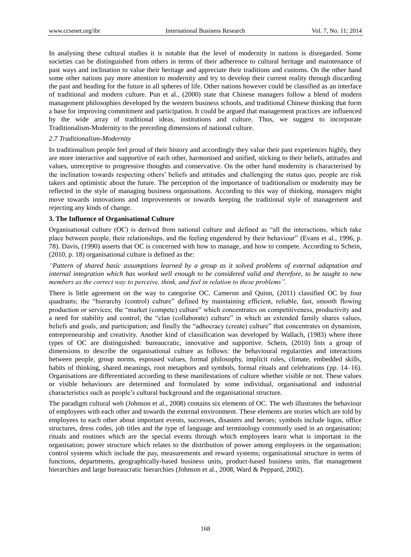In analysing these cultural studies it is notable that the level of modernity in nations is disregarded. Some societies can be distinguished from others in terms of their adherence to cultural heritage and maintenance of past ways and inclination to value their heritage and appreciate their traditions and customs. On the other hand some other nations pay more attention to modernity and try to develop their current reality through discarding the past and heading for the future in all spheres of life. Other nations however could be classified as an interface of traditional and modern culture. Pun et al., (2000) state that Chinese managers follow a blend of modern management philosophies developed by the western business schools, and traditional Chinese thinking that form a base for improving commitment and participation. It could be argued that management practices are influenced by the wide array of traditional ideas, institutions and culture. Thus, we suggest to incorporate Traditionalism-Modernity to the preceding dimensions of national culture.

# *2.7 Traditionalism-Modernity*

In traditionalism people feel proud of their history and accordingly they value their past experiences highly, they are more interactive and supportive of each other, harmonised and unified, sticking to their beliefs, attitudes and values, unreceptive to progressive thoughts and conservative. On the other hand modernity is characterised by the inclination towards respecting others' beliefs and attitudes and challenging the status quo, people are risk takers and optimistic about the future. The perception of the importance of traditionalism or modernity may be reflected in the style of managing business organisations. According to this way of thinking, managers might move towards innovations and improvements or towards keeping the traditional style of management and rejecting any kinds of change.

# **3. The Influence of Organisational Culture**

Organisational culture (OC) is derived from national culture and defined as "all the interactions, which take place between people, their relationships, and the feeling engendered by their behaviour" (Evans et al., 1996, p. 78). Davis, (1990) asserts that OC is concerned with how to manage, and how to compete. According to Schein, (2010, p. 18) organisational culture is defined as the:

*"Pattern of shared basic assumptions learned by a group as it solved problems of external adaptation and internal integration which has worked well enough to be considered valid and therefore, to be taught to new members as the correct way to perceive, think, and feel in relation to these problems".*

There is little agreement on the way to categorise OC. Cameron and Quinn, (2011) classified OC by four quadrants; the "hierarchy (control) culture" defined by maintaining efficient, reliable, fast, smooth flowing production or services; the "market (compete) culture" which concentrates on competitiveness, productivity and a need for stability and control; the "clan (collaborate) culture" in which an extended family shares values, beliefs and goals, and participation; and finally the "adhocracy (create) culture" that concentrates on dynamism, entrepreneurship and creativity. Another kind of classification was developed by Wallach, (1983) where three types of OC are distinguished: bureaucratic, innovative and supportive. Schein, (2010) lists a group of dimensions to describe the organisational culture as follows: the behavioural regularities and interactions between people, group norms, espoused values, formal philosophy, implicit rules, climate, embedded skills, habits of thinking, shared meanings, root metaphors and symbols, formal rituals and celebrations (pp. 14–16). Organisations are differentiated according to these manifestations of culture whether visible or not. These values or visible behaviours are determined and formulated by some individual, organisational and industrial characteristics such as people's cultural background and the organisational structure.

The paradigm cultural web (Johnson et al., 2008) contains six elements of OC. The web illustrates the behaviour of employees with each other and towards the external environment. These elements are stories which are told by employees to each other about important events, successes, disasters and heroes; symbols include logos, office structures, dress codes, job titles and the type of language and terminology commonly used in an organisation; rituals and routines which are the special events through which employees learn what is important in the organisation; power structure which relates to the distribution of power among employees in the organisation; control systems which include the pay, measurements and reward systems; organisational structure in terms of functions, departments, geographically-based business units, product-based business units, flat management hierarchies and large bureaucratic hierarchies (Johnson et al., 2008, Ward & Peppard, 2002).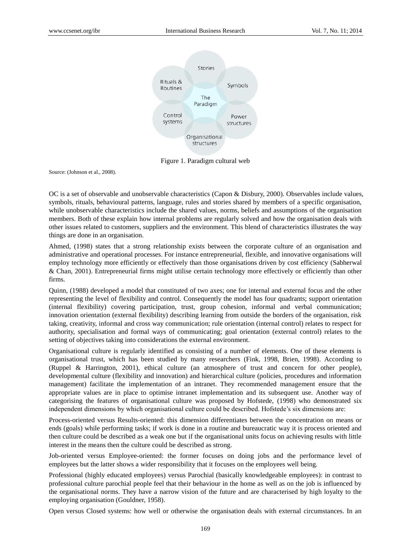

Figure 1. Paradigm cultural web

Source: (Johnson et al., 2008).

OC is a set of observable and unobservable characteristics (Capon & Disbury, 2000). Observables include values, symbols, rituals, behavioural patterns, language, rules and stories shared by members of a specific organisation, while unobservable characteristics include the shared values, norms, beliefs and assumptions of the organisation members. Both of these explain how internal problems are regularly solved and how the organisation deals with other issues related to customers, suppliers and the environment. This blend of characteristics illustrates the way things are done in an organisation.

Ahmed, (1998) states that a strong relationship exists between the corporate culture of an organisation and administrative and operational processes. For instance entrepreneurial, flexible, and innovative organisations will employ technology more efficiently or effectively than those organisations driven by cost efficiency (Sabherwal & Chan, 2001). Entrepreneurial firms might utilise certain technology more effectively or efficiently than other firms.

Quinn, (1988) developed a model that constituted of two axes; one for internal and external focus and the other representing the level of flexibility and control. Consequently the model has four quadrants; support orientation (internal flexibility) covering participation, trust, group cohesion, informal and verbal communication; innovation orientation (external flexibility) describing learning from outside the borders of the organisation, risk taking, creativity, informal and cross way communication; rule orientation (internal control) relates to respect for authority, specialisation and formal ways of communicating; goal orientation (external control) relates to the setting of objectives taking into considerations the external environment.

Organisational culture is regularly identified as consisting of a number of elements. One of these elements is organisational trust, which has been studied by many researchers (Fink, 1998, Brien, 1998). According to (Ruppel & Harrington, 2001), ethical culture (an atmosphere of trust and concern for other people), developmental culture (flexibility and innovation) and hierarchical culture (policies, procedures and information management) facilitate the implementation of an intranet. They recommended management ensure that the appropriate values are in place to optimise intranet implementation and its subsequent use. Another way of categorising the features of organisational culture was proposed by Hofstede, (1998) who demonstrated six independent dimensions by which organisational culture could be described. Hofstede's six dimensions are:

Process-oriented versus Results-oriented: this dimension differentiates between the concentration on means or ends (goals) while performing tasks; if work is done in a routine and bureaucratic way it is process oriented and then culture could be described as a weak one but if the organisational units focus on achieving results with little interest in the means then the culture could be described as strong.

Job-oriented versus Employee-oriented: the former focuses on doing jobs and the performance level of employees but the latter shows a wider responsibility that it focuses on the employees well being.

Professional (highly educated employees) versus Parochial (basically knowledgeable employees): in contrast to professional culture parochial people feel that their behaviour in the home as well as on the job is influenced by the organisational norms. They have a narrow vision of the future and are characterised by high loyalty to the employing organisation (Gouldner, 1958).

Open versus Closed systems: how well or otherwise the organisation deals with external circumstances. In an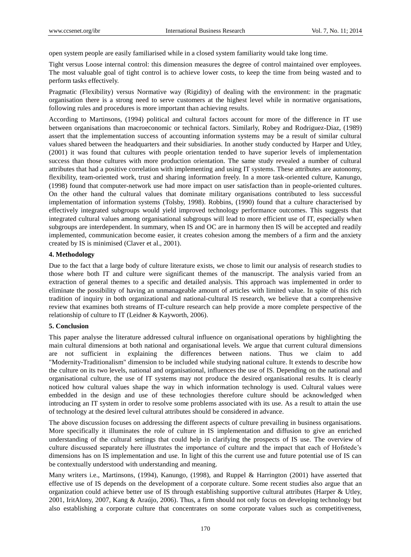open system people are easily familiarised while in a closed system familiarity would take long time.

Tight versus Loose internal control: this dimension measures the degree of control maintained over employees. The most valuable goal of tight control is to achieve lower costs, to keep the time from being wasted and to perform tasks effectively.

Pragmatic (Flexibility) versus Normative way (Rigidity) of dealing with the environment: in the pragmatic organisation there is a strong need to serve customers at the highest level while in normative organisations, following rules and procedures is more important than achieving results.

According to Martinsons, (1994) political and cultural factors account for more of the difference in IT use between organisations than macroeconomic or technical factors. Similarly, Robey and Rodriguez-Diaz, (1989) assert that the implementation success of accounting information systems may be a result of similar cultural values shared between the headquarters and their subsidiaries. In another study conducted by Harper and Utley, (2001) it was found that cultures with people orientation tended to have superior levels of implementation success than those cultures with more production orientation. The same study revealed a number of cultural attributes that had a positive correlation with implementing and using IT systems. These attributes are autonomy, flexibility, team-oriented work, trust and sharing information freely. In a more task-oriented culture, Kanungo, (1998) found that computer-network use had more impact on user satisfaction than in people-oriented cultures. On the other hand the cultural values that dominate military organisations contributed to less successful implementation of information systems (Tolsby, 1998). Robbins, (1990) found that a culture characterised by effectively integrated subgroups would yield improved technology performance outcomes. This suggests that integrated cultural values among organisational subgroups will lead to more efficient use of IT, especially when subgroups are interdependent. In summary, when IS and OC are in harmony then IS will be accepted and readily implemented, communication become easier, it creates cohesion among the members of a firm and the anxiety created by IS is minimised (Claver et al., 2001).

# **4. Methodology**

Due to the fact that a large body of culture literature exists, we chose to limit our analysis of research studies to those where both IT and culture were significant themes of the manuscript. The analysis varied from an extraction of general themes to a specific and detailed analysis. This approach was implemented in order to eliminate the possibility of having an unmanageable amount of articles with limited value. In spite of this rich tradition of inquiry in both organizational and national-cultural IS research, we believe that a comprehensive review that examines both streams of IT-culture research can help provide a more complete perspective of the relationship of culture to IT (Leidner & Kayworth, 2006).

#### **5. Conclusion**

This paper analyse the literature addressed cultural influence on organisational operations by highlighting the main cultural dimensions at both national and organisational levels. We argue that current cultural dimensions are not sufficient in explaining the differences between nations. Thus we claim to add "Modernity-Traditionalism" dimension to be included while studying national culture. It extends to describe how the culture on its two levels, national and organisational, influences the use of IS. Depending on the national and organisational culture, the use of IT systems may not produce the desired organisational results. It is clearly noticed how cultural values shape the way in which information technology is used. Cultural values were embedded in the design and use of these technologies therefore culture should be acknowledged when introducing an IT system in order to resolve some problems associated with its use. As a result to attain the use of technology at the desired level cultural attributes should be considered in advance.

The above discussion focuses on addressing the different aspects of culture prevailing in business organisations. More specifically it illuminates the role of culture in IS implementation and diffusion to give an enriched understanding of the cultural settings that could help in clarifying the prospects of IS use. The overview of culture discussed separately here illustrates the importance of culture and the impact that each of Hofstede's dimensions has on IS implementation and use. In light of this the current use and future potential use of IS can be contextually understood with understanding and meaning.

Many writers i.e., Martinsons, (1994), Kanungo, (1998), and Ruppel & Harrington (2001) have asserted that effective use of IS depends on the development of a corporate culture. Some recent studies also argue that an organization could achieve better use of IS through establishing supportive cultural attributes (Harper & Utley, 2001, IritAlony, 2007, Kang & Araújo, 2006). Thus, a firm should not only focus on developing technology but also establishing a corporate culture that concentrates on some corporate values such as competitiveness,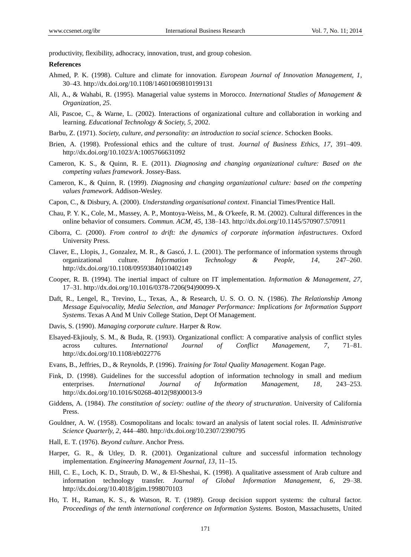productivity, flexibility, adhocracy, innovation, trust, and group cohesion.

#### **References**

- Ahmed, P. K. (1998). Culture and climate for innovation. *European Journal of Innovation Management, 1*, 30–43. http://dx.doi.org/10.1108/14601069810199131
- Ali, A., & Wahabi, R. (1995). Managerial value systems in Morocco. *International Studies of Management & Organization, 25*.
- Ali, Pascoe, C., & Warne, L. (2002). Interactions of organizational culture and collaboration in working and learning. *Educational Technology & Society, 5*, 2002.
- Barbu, Z. (1971). *Society, culture, and personality: an introduction to social science*. Schocken Books.
- Brien, A. (1998). Professional ethics and the culture of trust. *Journal of Business Ethics, 17*, 391–409. http://dx.doi.org/10.1023/A:1005766631092
- Cameron, K. S., & Quinn, R. E. (2011). *Diagnosing and changing organizational culture: Based on the competing values framework*. Jossey-Bass.
- Cameron, K., & Quinn, R. (1999). *Diagnosing and changing organizational culture: based on the competing values framework*. Addison-Wesley.
- Capon, C., & Disbury, A. (2000). *Understanding organisational context*. Financial Times/Prentice Hall.
- Chau, P. Y. K., Cole, M., Massey, A. P., Montoya-Weiss, M., & O'keefe, R. M. (2002). Cultural differences in the online behavior of consumers. *Commun. ACM, 45*, 138–143. http://dx.doi.org/10.1145/570907.570911
- Ciborra, C. (2000). *From control to drift: the dynamics of corporate information infastructures*. Oxford University Press.
- Claver, E., Llopis, J., Gonzalez, M. R., & Gascó, J. L. (2001). The performance of information systems through organizational culture. *Information Technology & People, 14*, 247–260. http://dx.doi.org/10.1108/09593840110402149
- Cooper, R. B. (1994). The inertial impact of culture on IT implementation. *Information & Management, 27*, 17–31. http://dx.doi.org/10.1016/0378-7206(94)90099-X
- Daft, R., Lengel, R., Trevino, L., Texas, A., & Research, U. S. O. O. N. (1986). *The Relationship Among Message Equivocality, Media Selection, and Manager Performance: Implications for Information Support Systems*. Texas A And M Univ College Station, Dept Of Management.
- Davis, S. (1990). *Managing corporate culture*. Harper & Row.
- Elsayed-Ekjiouly, S. M., & Buda, R. (1993). Organizational conflict: A comparative analysis of conflict styles across cultures. *International Journal of Conflict Management, 7*, 71–81. http://dx.doi.org/10.1108/eb022776
- Evans, B., Jeffries, D., & Reynolds, P. (1996). *Training for Total Quality Management*. Kogan Page.
- Fink, D. (1998). Guidelines for the successful adoption of information technology in small and medium enterprises. *International Journal of Information Management, 18*, 243–253. http://dx.doi.org/10.1016/S0268-4012(98)00013-9
- Giddens, A. (1984). *The constitution of society: outline of the theory of structuration*. University of California Press.
- Gouldner, A. W. (1958). Cosmopolitans and locals: toward an analysis of latent social roles. II. *Administrative Science Quarterly, 2*, 444–480. http://dx.doi.org/10.2307/2390795
- Hall, E. T. (1976). *Beyond culture*. Anchor Press.
- Harper, G. R., & Utley, D. R. (2001). Organizational culture and successful information technology implementation. *Engineering Management Journal, 13*, 11–15.
- Hill, C. E., Loch, K. D., Straub, D. W., & El-Sheshai, K. (1998). A qualitative assessment of Arab culture and information technology transfer. *Journal of Global Information Management, 6*, 29–38. http://dx.doi.org/10.4018/jgim.1998070103
- Ho, T. H., Raman, K. S., & Watson, R. T. (1989). Group decision support systems: the cultural factor. *Proceedings of the tenth international conference on Information Systems.* Boston, Massachusetts, United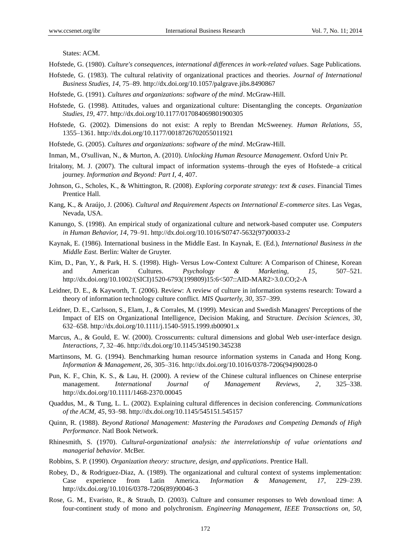States: ACM.

Hofstede, G. (1980). *Culture's consequences, international differences in work-related values*. Sage Publications.

- Hofstede, G. (1983). The cultural relativity of organizational practices and theories. *Journal of International Business Studies, 14*, 75–89. http://dx.doi.org/10.1057/palgrave.jibs.8490867
- Hofstede, G. (1991). *Cultures and organizations: software of the mind*. McGraw-Hill.
- Hofstede, G. (1998). Attitudes, values and organizational culture: Disentangling the concepts. *Organization Studies, 19*, 477. http://dx.doi.org/10.1177/017084069801900305
- Hofstede, G. (2002). Dimensions do not exist: A reply to Brendan McSweeney. *Human Relations, 55*, 1355–1361. http://dx.doi.org/10.1177/0018726702055011921
- Hofstede, G. (2005). *Cultures and organizations: software of the mind*. McGraw-Hill.
- Inman, M., O'sullivan, N., & Murton, A. (2010). *Unlocking Human Resource Management*. Oxford Univ Pr.
- Iritalony, M. J. (2007). The cultural impact of information systems–through the eyes of Hofstede–a critical journey. *Information and Beyond: Part I, 4*, 407.
- Johnson, G., Scholes, K., & Whittington, R. (2008). *Exploring corporate strategy: text & cases*. Financial Times Prentice Hall.
- Kang, K., & Araújo, J. (2006). *Cultural and Requirement Aspects on International E-commerce sites*. Las Vegas, Nevada, USA.
- Kanungo, S. (1998). An empirical study of organizational culture and network-based computer use. *Computers in Human Behavior, 14*, 79–91. http://dx.doi.org/10.1016/S0747-5632(97)00033-2
- Kaynak, E. (1986). International business in the Middle East. In Kaynak, E. (Ed.), *International Business in the Middle East.* Berlin: Walter de Gruyter.
- Kim, D., Pan, Y., & Park, H. S. (1998). High- Versus Low-Context Culture: A Comparison of Chinese, Korean and American Cultures. *Psychology & Marketing, 15*, 507–521. http://dx.doi.org/10.1002/(SICI)1520-6793(199809)15:6<507::AID-MAR2>3.0.CO;2-A
- Leidner, D. E., & Kayworth, T. (2006). Review: A review of culture in information systems research: Toward a theory of information technology culture conflict. *MIS Quarterly, 30*, 357–399.
- Leidner, D. E., Carlsson, S., Elam, J., & Corrales, M. (1999). Mexican and Swedish Managers' Perceptions of the Impact of EIS on Organizational Intelligence, Decision Making, and Structure. *Decision Sciences, 30*, 632–658. http://dx.doi.org/10.1111/j.1540-5915.1999.tb00901.x
- Marcus, A., & Gould, E. W. (2000). Crosscurrents: cultural dimensions and global Web user-interface design. *Interactions, 7*, 32–46. http://dx.doi.org/10.1145/345190.345238
- Martinsons, M. G. (1994). Benchmarking human resource information systems in Canada and Hong Kong. *Information & Management, 26*, 305–316. http://dx.doi.org/10.1016/0378-7206(94)90028-0
- Pun, K. F., Chin, K. S., & Lau, H. (2000). A review of the Chinese cultural influences on Chinese enterprise management. *International Journal of Management Reviews, 2*, 325–338. http://dx.doi.org/10.1111/1468-2370.00045
- Quaddus, M., & Tung, L. L. (2002). Explaining cultural differences in decision conferencing. *Communications of the ACM, 45*, 93–98. http://dx.doi.org/10.1145/545151.545157
- Quinn, R. (1988). *Beyond Rational Management: Mastering the Paradoxes and Competing Demands of High Performance*. Natl Book Network.
- Rhinesmith, S. (1970). *Cultural-organizational analysis: the interrelationship of value orientations and managerial behavior*. McBer.
- Robbins, S. P. (1990). *Organization theory: structure, design, and applications*. Prentice Hall.
- Robey, D., & Rodriguez-Diaz, A. (1989). The organizational and cultural context of systems implementation: Case experience from Latin America. *Information & Management, 17*, 229–239. http://dx.doi.org/10.1016/0378-7206(89)90046-3
- Rose, G. M., Evaristo, R., & Straub, D. (2003). Culture and consumer responses to Web download time: A four-continent study of mono and polychronism. *Engineering Management, IEEE Transactions on, 50,*